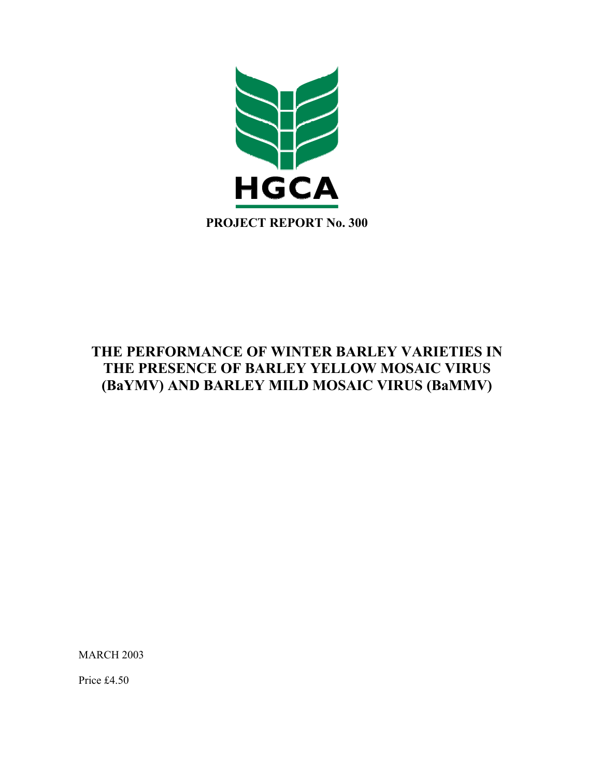

# **THE PERFORMANCE OF WINTER BARLEY VARIETIES IN THE PRESENCE OF BARLEY YELLOW MOSAIC VIRUS (BaYMV) AND BARLEY MILD MOSAIC VIRUS (BaMMV)**

MARCH 2003

Price £4.50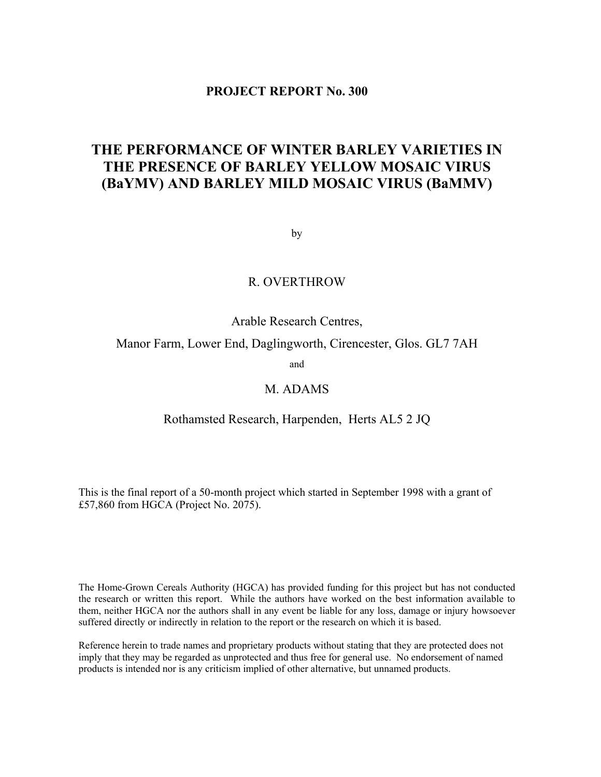# **PROJECT REPORT No. 300**

# **THE PERFORMANCE OF WINTER BARLEY VARIETIES IN THE PRESENCE OF BARLEY YELLOW MOSAIC VIRUS (BaYMV) AND BARLEY MILD MOSAIC VIRUS (BaMMV)**

by

# R. OVERTHROW

Arable Research Centres,

Manor Farm, Lower End, Daglingworth, Cirencester, Glos. GL7 7AH

and

# M. ADAMS

## Rothamsted Research, Harpenden, Herts AL5 2 JQ

This is the final report of a 50-month project which started in September 1998 with a grant of £57,860 from HGCA (Project No. 2075).

The Home-Grown Cereals Authority (HGCA) has provided funding for this project but has not conducted the research or written this report. While the authors have worked on the best information available to them, neither HGCA nor the authors shall in any event be liable for any loss, damage or injury howsoever suffered directly or indirectly in relation to the report or the research on which it is based.

Reference herein to trade names and proprietary products without stating that they are protected does not imply that they may be regarded as unprotected and thus free for general use. No endorsement of named products is intended nor is any criticism implied of other alternative, but unnamed products.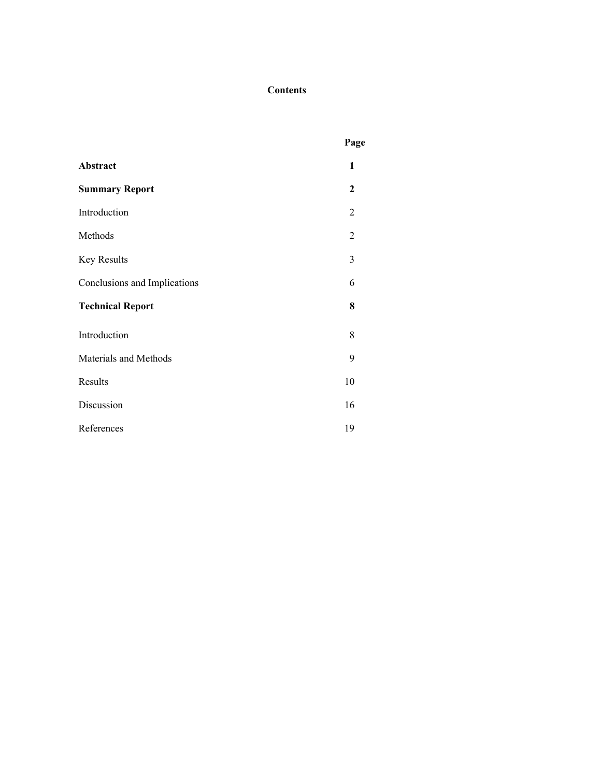# **Contents**

|                              | Page           |
|------------------------------|----------------|
| Abstract                     | 1              |
| <b>Summary Report</b>        | 2              |
| Introduction                 | 2              |
| Methods                      | $\overline{2}$ |
| Key Results                  | 3              |
| Conclusions and Implications | 6              |
| <b>Technical Report</b>      | 8              |
| Introduction                 | 8              |
| Materials and Methods        | 9              |
| Results                      | 10             |
| Discussion                   | 16             |
| References                   | 19             |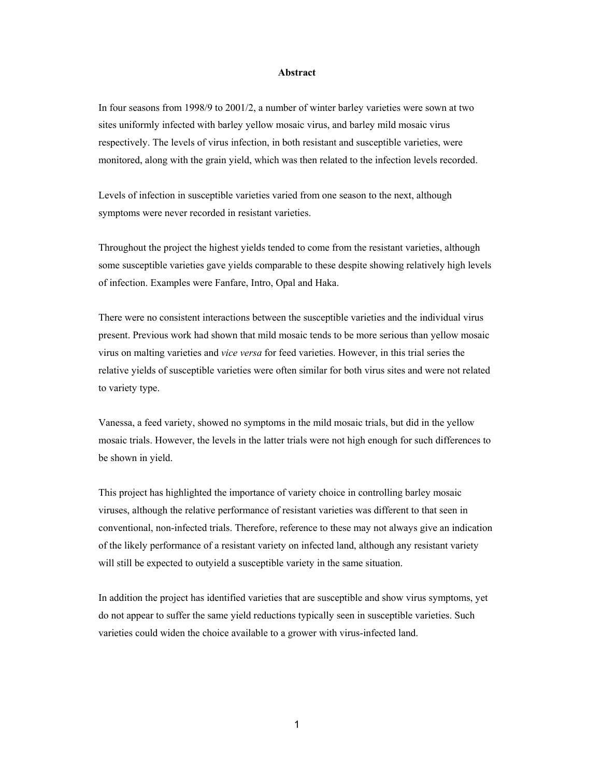#### **Abstract**

In four seasons from 1998/9 to 2001/2, a number of winter barley varieties were sown at two sites uniformly infected with barley yellow mosaic virus, and barley mild mosaic virus respectively. The levels of virus infection, in both resistant and susceptible varieties, were monitored, along with the grain yield, which was then related to the infection levels recorded.

Levels of infection in susceptible varieties varied from one season to the next, although symptoms were never recorded in resistant varieties.

Throughout the project the highest yields tended to come from the resistant varieties, although some susceptible varieties gave yields comparable to these despite showing relatively high levels of infection. Examples were Fanfare, Intro, Opal and Haka.

There were no consistent interactions between the susceptible varieties and the individual virus present. Previous work had shown that mild mosaic tends to be more serious than yellow mosaic virus on malting varieties and *vice versa* for feed varieties. However, in this trial series the relative yields of susceptible varieties were often similar for both virus sites and were not related to variety type.

Vanessa, a feed variety, showed no symptoms in the mild mosaic trials, but did in the yellow mosaic trials. However, the levels in the latter trials were not high enough for such differences to be shown in yield.

This project has highlighted the importance of variety choice in controlling barley mosaic viruses, although the relative performance of resistant varieties was different to that seen in conventional, non-infected trials. Therefore, reference to these may not always give an indication of the likely performance of a resistant variety on infected land, although any resistant variety will still be expected to outyield a susceptible variety in the same situation.

In addition the project has identified varieties that are susceptible and show virus symptoms, yet do not appear to suffer the same yield reductions typically seen in susceptible varieties. Such varieties could widen the choice available to a grower with virus-infected land.

1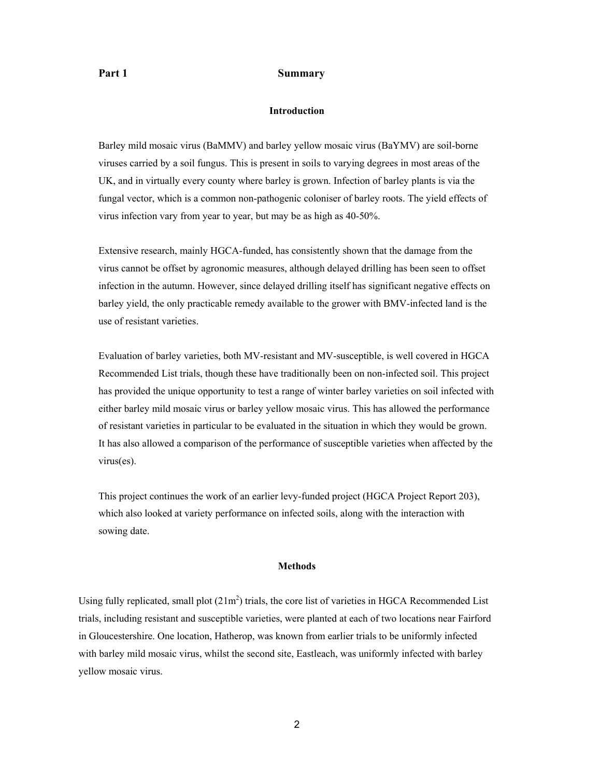#### Part 1 Summary

#### **Introduction**

Barley mild mosaic virus (BaMMV) and barley yellow mosaic virus (BaYMV) are soil-borne viruses carried by a soil fungus. This is present in soils to varying degrees in most areas of the UK, and in virtually every county where barley is grown. Infection of barley plants is via the fungal vector, which is a common non-pathogenic coloniser of barley roots. The yield effects of virus infection vary from year to year, but may be as high as 40-50%.

Extensive research, mainly HGCA-funded, has consistently shown that the damage from the virus cannot be offset by agronomic measures, although delayed drilling has been seen to offset infection in the autumn. However, since delayed drilling itself has significant negative effects on barley yield, the only practicable remedy available to the grower with BMV-infected land is the use of resistant varieties.

Evaluation of barley varieties, both MV-resistant and MV-susceptible, is well covered in HGCA Recommended List trials, though these have traditionally been on non-infected soil. This project has provided the unique opportunity to test a range of winter barley varieties on soil infected with either barley mild mosaic virus or barley yellow mosaic virus. This has allowed the performance of resistant varieties in particular to be evaluated in the situation in which they would be grown. It has also allowed a comparison of the performance of susceptible varieties when affected by the virus(es).

This project continues the work of an earlier levy-funded project (HGCA Project Report 203), which also looked at variety performance on infected soils, along with the interaction with sowing date.

#### **Methods**

Using fully replicated, small plot  $(21m^2)$  trials, the core list of varieties in HGCA Recommended List trials, including resistant and susceptible varieties, were planted at each of two locations near Fairford in Gloucestershire. One location, Hatherop, was known from earlier trials to be uniformly infected with barley mild mosaic virus, whilst the second site, Eastleach, was uniformly infected with barley yellow mosaic virus.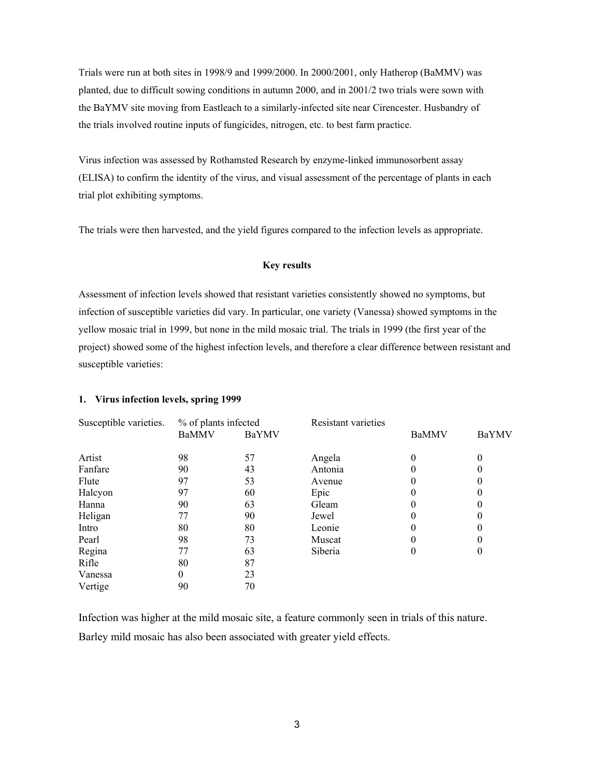Trials were run at both sites in 1998/9 and 1999/2000. In 2000/2001, only Hatherop (BaMMV) was planted, due to difficult sowing conditions in autumn 2000, and in 2001/2 two trials were sown with the BaYMV site moving from Eastleach to a similarly-infected site near Cirencester. Husbandry of the trials involved routine inputs of fungicides, nitrogen, etc. to best farm practice.

Virus infection was assessed by Rothamsted Research by enzyme-linked immunosorbent assay (ELISA) to confirm the identity of the virus, and visual assessment of the percentage of plants in each trial plot exhibiting symptoms.

The trials were then harvested, and the yield figures compared to the infection levels as appropriate.

#### **Key results**

Assessment of infection levels showed that resistant varieties consistently showed no symptoms, but infection of susceptible varieties did vary. In particular, one variety (Vanessa) showed symptoms in the yellow mosaic trial in 1999, but none in the mild mosaic trial. The trials in 1999 (the first year of the project) showed some of the highest infection levels, and therefore a clear difference between resistant and susceptible varieties:

#### **1. Virus infection levels, spring 1999**

| Susceptible varieties. | % of plants infected |       | <b>Resistant varieties</b> |              |          |  |
|------------------------|----------------------|-------|----------------------------|--------------|----------|--|
|                        | <b>BaMMV</b>         | BaYMV |                            | <b>BaMMV</b> | BaYMV    |  |
| Artist                 | 98                   | 57    | Angela                     | 0            | $\theta$ |  |
| Fanfare                | 90                   | 43    | Antonia                    |              |          |  |
| Flute                  | 97                   | 53    | Avenue                     | 0            |          |  |
| Halcyon                | 97                   | 60    | Epic                       |              |          |  |
| Hanna                  | 90                   | 63    | Gleam                      |              |          |  |
| Heligan                | 77                   | 90    | Jewel                      | 0            |          |  |
| Intro                  | 80                   | 80    | Leonie                     |              |          |  |
| Pearl                  | 98                   | 73    | Muscat                     | 0            |          |  |
| Regina                 | 77                   | 63    | Siberia                    | 0            | $\theta$ |  |
| Rifle                  | 80                   | 87    |                            |              |          |  |
| Vanessa                | 0                    | 23    |                            |              |          |  |
| Vertige                | 90                   | 70    |                            |              |          |  |

Infection was higher at the mild mosaic site, a feature commonly seen in trials of this nature. Barley mild mosaic has also been associated with greater yield effects.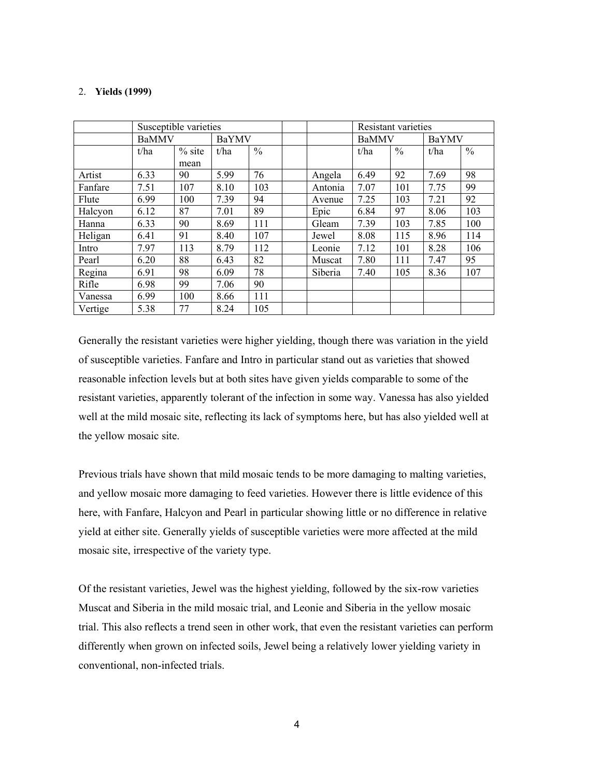#### 2. **Yields (1999)**

|         |              | Susceptible varieties |       |               |         |              | Resistant varieties |       |               |
|---------|--------------|-----------------------|-------|---------------|---------|--------------|---------------------|-------|---------------|
|         | <b>BaMMV</b> |                       | BaYMV |               |         | <b>BaMMV</b> |                     | BaYMV |               |
|         | t/ha         | $%$ site<br>mean      | t/ha  | $\frac{0}{0}$ |         | t/ha         | $\frac{0}{0}$       | t/ha  | $\frac{0}{0}$ |
| Artist  | 6.33         | 90                    | 5.99  | 76            | Angela  | 6.49         | 92                  | 7.69  | 98            |
| Fanfare | 7.51         | 107                   | 8.10  | 103           | Antonia | 7.07         | 101                 | 7.75  | 99            |
| Flute   | 6.99         | 100                   | 7.39  | 94            | Avenue  | 7.25         | 103                 | 7.21  | 92            |
| Halcyon | 6.12         | 87                    | 7.01  | 89            | Epic    | 6.84         | 97                  | 8.06  | 103           |
| Hanna   | 6.33         | 90                    | 8.69  | 111           | Gleam   | 7.39         | 103                 | 7.85  | 100           |
| Heligan | 6.41         | 91                    | 8.40  | 107           | Jewel   | 8.08         | 115                 | 8.96  | 114           |
| Intro   | 7.97         | 113                   | 8.79  | 112           | Leonie  | 7.12         | 101                 | 8.28  | 106           |
| Pearl   | 6.20         | 88                    | 6.43  | 82            | Muscat  | 7.80         | 111                 | 7.47  | 95            |
| Regina  | 6.91         | 98                    | 6.09  | 78            | Siberia | 7.40         | 105                 | 8.36  | 107           |
| Rifle   | 6.98         | 99                    | 7.06  | 90            |         |              |                     |       |               |
| Vanessa | 6.99         | 100                   | 8.66  | 111           |         |              |                     |       |               |
| Vertige | 5.38         | 77                    | 8.24  | 105           |         |              |                     |       |               |

Generally the resistant varieties were higher yielding, though there was variation in the yield of susceptible varieties. Fanfare and Intro in particular stand out as varieties that showed reasonable infection levels but at both sites have given yields comparable to some of the resistant varieties, apparently tolerant of the infection in some way. Vanessa has also yielded well at the mild mosaic site, reflecting its lack of symptoms here, but has also yielded well at the yellow mosaic site.

Previous trials have shown that mild mosaic tends to be more damaging to malting varieties, and yellow mosaic more damaging to feed varieties. However there is little evidence of this here, with Fanfare, Halcyon and Pearl in particular showing little or no difference in relative yield at either site. Generally yields of susceptible varieties were more affected at the mild mosaic site, irrespective of the variety type.

Of the resistant varieties, Jewel was the highest yielding, followed by the six-row varieties Muscat and Siberia in the mild mosaic trial, and Leonie and Siberia in the yellow mosaic trial. This also reflects a trend seen in other work, that even the resistant varieties can perform differently when grown on infected soils, Jewel being a relatively lower yielding variety in conventional, non-infected trials.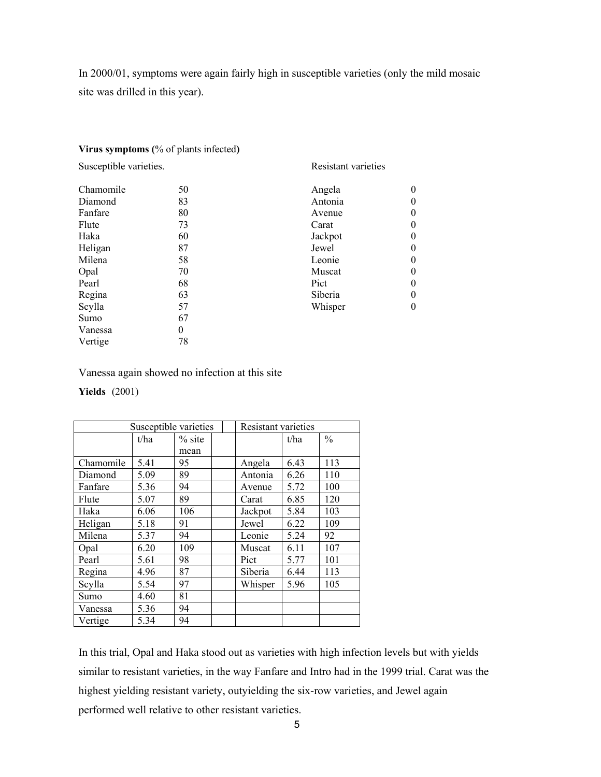In 2000/01, symptoms were again fairly high in susceptible varieties (only the mild mosaic site was drilled in this year).

#### **Virus symptoms (**% of plants infected**)**

Susceptible varieties. Resistant varieties Chamomile 50 Angela 0<br>Diamond 83 Antonia 0 Diamond 83 Antonia 0 Fanfare 80 80 Avenue 0 Flute 73 Carat 0 Haka 60 Jackpot 0 Heligan 87 Jewel 0 Milena 58 Leonie 0 Opal 70 Muscat 0 Pearl 68 Pict 0 Regina 63 Siberia 0 Scylla 57 Whisper 0 Sumo 67 Vanessa 0 Vertige 78

Vanessa again showed no infection at this site

#### **Yields** (2001)

|           | Susceptible varieties |          | <b>Resistant varieties</b> |      |               |  |
|-----------|-----------------------|----------|----------------------------|------|---------------|--|
|           | t/ha                  | $%$ site |                            | t/ha | $\frac{0}{0}$ |  |
|           |                       | mean     |                            |      |               |  |
| Chamomile | 5.41                  | 95       | Angela                     | 6.43 | 113           |  |
| Diamond   | 5.09                  | 89       | Antonia                    | 6.26 | 110           |  |
| Fanfare   | 5.36                  | 94       | Avenue                     | 5.72 | 100           |  |
| Flute     | 5.07                  | 89       | Carat                      | 6.85 | 120           |  |
| Haka      | 6.06                  | 106      | Jackpot                    | 5.84 | 103           |  |
| Heligan   | 5.18                  | 91       | Jewel                      | 6.22 | 109           |  |
| Milena    | 5.37                  | 94       | Leonie                     | 5.24 | 92            |  |
| Opal      | 6.20                  | 109      | Muscat                     | 6.11 | 107           |  |
| Pearl     | 5.61                  | 98       | Pict                       | 5.77 | 101           |  |
| Regina    | 4.96                  | 87       | Siberia                    | 6.44 | 113           |  |
| Scylla    | 5.54                  | 97       | Whisper                    | 5.96 | 105           |  |
| Sumo      | 4.60                  | 81       |                            |      |               |  |
| Vanessa   | 5.36                  | 94       |                            |      |               |  |
| Vertige   | 5.34                  | 94       |                            |      |               |  |

In this trial, Opal and Haka stood out as varieties with high infection levels but with yields similar to resistant varieties, in the way Fanfare and Intro had in the 1999 trial. Carat was the highest yielding resistant variety, outyielding the six-row varieties, and Jewel again performed well relative to other resistant varieties.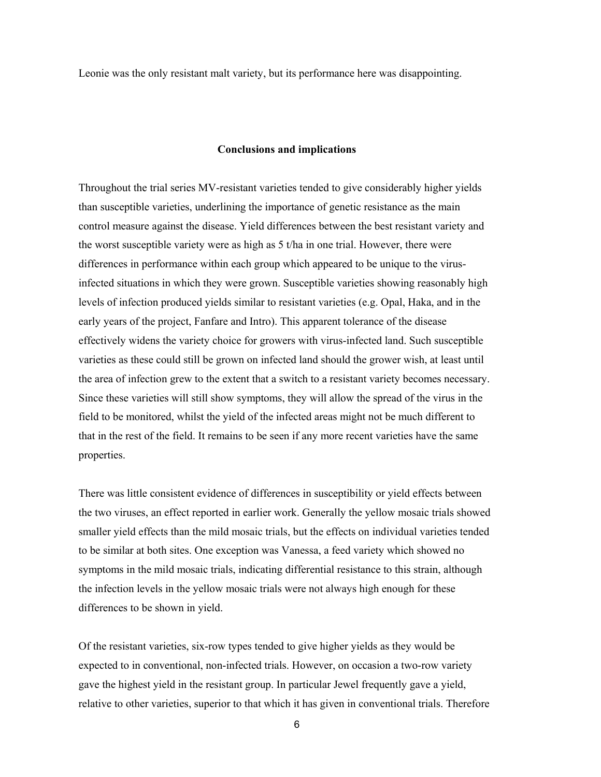Leonie was the only resistant malt variety, but its performance here was disappointing.

#### **Conclusions and implications**

Throughout the trial series MV-resistant varieties tended to give considerably higher yields than susceptible varieties, underlining the importance of genetic resistance as the main control measure against the disease. Yield differences between the best resistant variety and the worst susceptible variety were as high as 5 t/ha in one trial. However, there were differences in performance within each group which appeared to be unique to the virusinfected situations in which they were grown. Susceptible varieties showing reasonably high levels of infection produced yields similar to resistant varieties (e.g. Opal, Haka, and in the early years of the project, Fanfare and Intro). This apparent tolerance of the disease effectively widens the variety choice for growers with virus-infected land. Such susceptible varieties as these could still be grown on infected land should the grower wish, at least until the area of infection grew to the extent that a switch to a resistant variety becomes necessary. Since these varieties will still show symptoms, they will allow the spread of the virus in the field to be monitored, whilst the yield of the infected areas might not be much different to that in the rest of the field. It remains to be seen if any more recent varieties have the same properties.

There was little consistent evidence of differences in susceptibility or yield effects between the two viruses, an effect reported in earlier work. Generally the yellow mosaic trials showed smaller yield effects than the mild mosaic trials, but the effects on individual varieties tended to be similar at both sites. One exception was Vanessa, a feed variety which showed no symptoms in the mild mosaic trials, indicating differential resistance to this strain, although the infection levels in the yellow mosaic trials were not always high enough for these differences to be shown in yield.

Of the resistant varieties, six-row types tended to give higher yields as they would be expected to in conventional, non-infected trials. However, on occasion a two-row variety gave the highest yield in the resistant group. In particular Jewel frequently gave a yield, relative to other varieties, superior to that which it has given in conventional trials. Therefore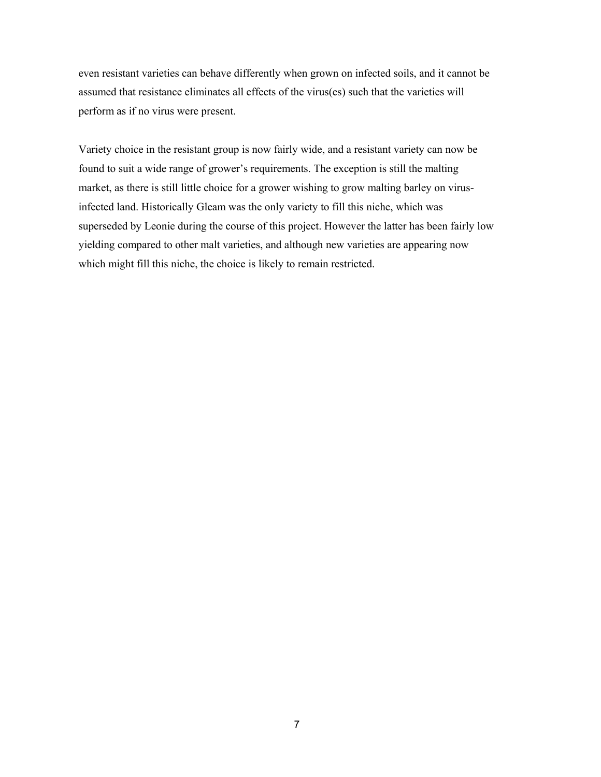even resistant varieties can behave differently when grown on infected soils, and it cannot be assumed that resistance eliminates all effects of the virus(es) such that the varieties will perform as if no virus were present.

Variety choice in the resistant group is now fairly wide, and a resistant variety can now be found to suit a wide range of grower's requirements. The exception is still the malting market, as there is still little choice for a grower wishing to grow malting barley on virusinfected land. Historically Gleam was the only variety to fill this niche, which was superseded by Leonie during the course of this project. However the latter has been fairly low yielding compared to other malt varieties, and although new varieties are appearing now which might fill this niche, the choice is likely to remain restricted.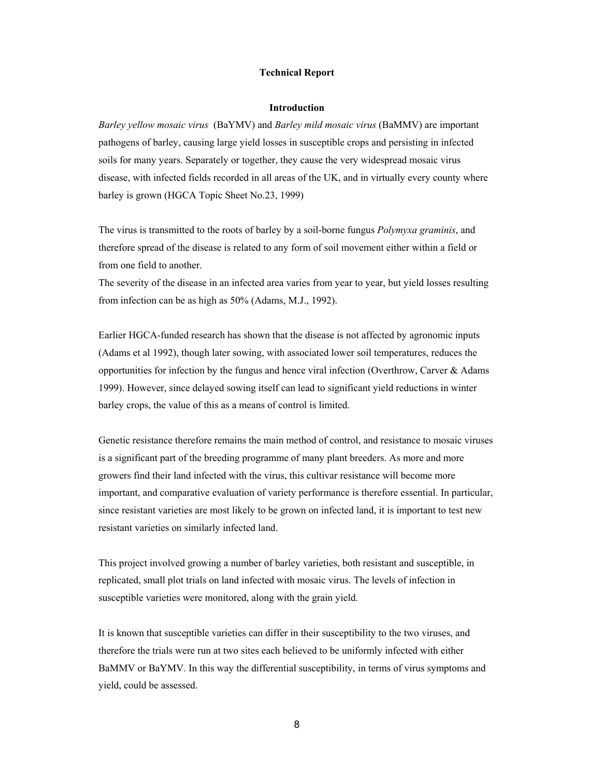#### **Technical Report**

#### **Introduction**

*Barley yellow mosaic virus* (BaYMV) and *Barley mild mosaic virus* (BaMMV) are important pathogens of barley, causing large yield losses in susceptible crops and persisting in infected soils for many years. Separately or together, they cause the very widespread mosaic virus disease, with infected fields recorded in all areas of the UK, and in virtually every county where barley is grown (HGCA Topic Sheet No.23, 1999)

The virus is transmitted to the roots of barley by a soil-borne fungus *Polymyxa graminis*, and therefore spread of the disease is related to any form of soil movement either within a field or from one field to another.

The severity of the disease in an infected area varies from year to year, but yield losses resulting from infection can be as high as 50% (Adams, M.J., 1992).

Earlier HGCA-funded research has shown that the disease is not affected by agronomic inputs (Adams et al 1992), though later sowing, with associated lower soil temperatures, reduces the opportunities for infection by the fungus and hence viral infection (Overthrow, Carver & Adams 1999). However, since delayed sowing itself can lead to significant yield reductions in winter barley crops, the value of this as a means of control is limited.

Genetic resistance therefore remains the main method of control, and resistance to mosaic viruses is a significant part of the breeding programme of many plant breeders. As more and more growers find their land infected with the virus, this cultivar resistance will become more important, and comparative evaluation of variety performance is therefore essential. In particular, since resistant varieties are most likely to be grown on infected land, it is important to test new resistant varieties on similarly infected land.

This project involved growing a number of barley varieties, both resistant and susceptible, in replicated, small plot trials on land infected with mosaic virus. The levels of infection in susceptible varieties were monitored, along with the grain yield.

It is known that susceptible varieties can differ in their susceptibility to the two viruses, and therefore the trials were run at two sites each believed to be uniformly infected with either BaMMV or BaYMV. In this way the differential susceptibility, in terms of virus symptoms and yield, could be assessed.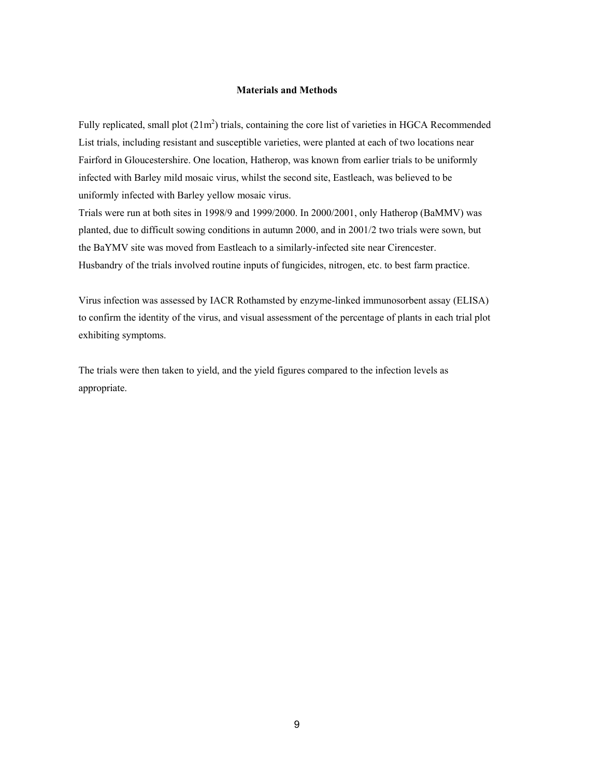#### **Materials and Methods**

Fully replicated, small plot  $(21m^2)$  trials, containing the core list of varieties in HGCA Recommended List trials, including resistant and susceptible varieties, were planted at each of two locations near Fairford in Gloucestershire. One location, Hatherop, was known from earlier trials to be uniformly infected with Barley mild mosaic virus, whilst the second site, Eastleach, was believed to be uniformly infected with Barley yellow mosaic virus.

Trials were run at both sites in 1998/9 and 1999/2000. In 2000/2001, only Hatherop (BaMMV) was planted, due to difficult sowing conditions in autumn 2000, and in 2001/2 two trials were sown, but the BaYMV site was moved from Eastleach to a similarly-infected site near Cirencester. Husbandry of the trials involved routine inputs of fungicides, nitrogen, etc. to best farm practice.

Virus infection was assessed by IACR Rothamsted by enzyme-linked immunosorbent assay (ELISA) to confirm the identity of the virus, and visual assessment of the percentage of plants in each trial plot exhibiting symptoms.

The trials were then taken to yield, and the yield figures compared to the infection levels as appropriate.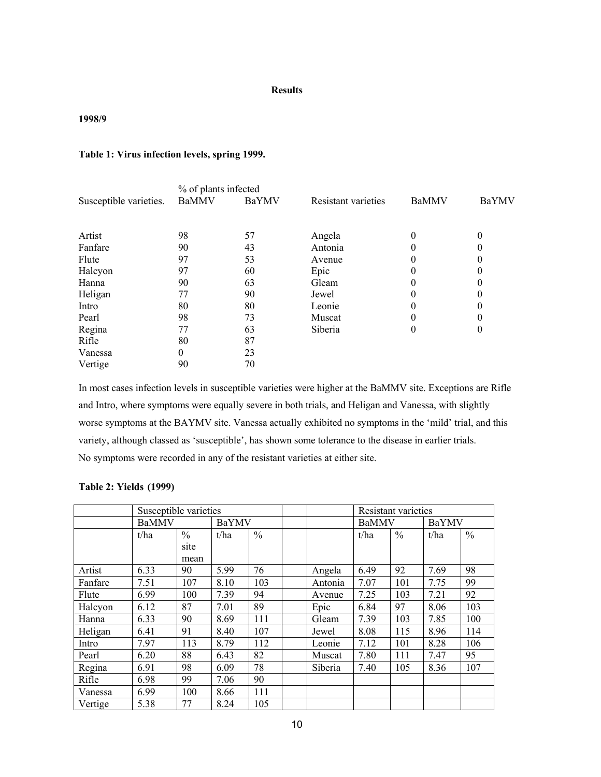#### **Results**

### **1998/9**

### **Table 1: Virus infection levels, spring 1999.**

|                        | % of plants infected |       |                     |              |              |  |
|------------------------|----------------------|-------|---------------------|--------------|--------------|--|
| Susceptible varieties. | <b>BaMMV</b>         | BaYMV | Resistant varieties | <b>BaMMV</b> | <b>BaYMV</b> |  |
|                        |                      |       |                     |              |              |  |
| Artist                 | 98                   | 57    | Angela              | 0            | 0            |  |
| Fanfare                | 90                   | 43    | Antonia             |              | $\theta$     |  |
| Flute                  | 97                   | 53    | Avenue              |              | 0            |  |
| Halcyon                | 97                   | 60    | Epic                |              | 0            |  |
| Hanna                  | 90                   | 63    | Gleam               |              | 0            |  |
| Heligan                | 77                   | 90    | Jewel               | 0            | 0            |  |
| Intro                  | 80                   | 80    | Leonie              |              | 0            |  |
| Pearl                  | 98                   | 73    | Muscat              |              | 0            |  |
| Regina                 | 77                   | 63    | Siberia             | 0            | $\mathbf{0}$ |  |
| Rifle                  | 80                   | 87    |                     |              |              |  |
| Vanessa                | 0                    | 23    |                     |              |              |  |
| Vertige                | 90                   | 70    |                     |              |              |  |

In most cases infection levels in susceptible varieties were higher at the BaMMV site. Exceptions are Rifle and Intro, where symptoms were equally severe in both trials, and Heligan and Vanessa, with slightly worse symptoms at the BAYMV site. Vanessa actually exhibited no symptoms in the 'mild' trial, and this variety, although classed as 'susceptible', has shown some tolerance to the disease in earlier trials. No symptoms were recorded in any of the resistant varieties at either site.

#### **Table 2: Yields (1999)**

|         |              | Susceptible varieties |      |               |  |         |              | Resistant varieties |       |               |
|---------|--------------|-----------------------|------|---------------|--|---------|--------------|---------------------|-------|---------------|
|         | <b>BaMMV</b> |                       |      | <b>BaYMV</b>  |  |         | <b>BaMMV</b> |                     | BaYMV |               |
|         | t/ha         | $\frac{0}{0}$         | t/ha | $\frac{0}{0}$ |  |         | t/ha         | $\frac{0}{0}$       | t/ha  | $\frac{0}{0}$ |
|         |              | site                  |      |               |  |         |              |                     |       |               |
|         |              | mean                  |      |               |  |         |              |                     |       |               |
| Artist  | 6.33         | 90                    | 5.99 | 76            |  | Angela  | 6.49         | 92                  | 7.69  | 98            |
| Fanfare | 7.51         | 107                   | 8.10 | 103           |  | Antonia | 7.07         | 101                 | 7.75  | 99            |
| Flute   | 6.99         | 100                   | 7.39 | 94            |  | Avenue  | 7.25         | 103                 | 7.21  | 92            |
| Halcyon | 6.12         | 87                    | 7.01 | 89            |  | Epic    | 6.84         | 97                  | 8.06  | 103           |
| Hanna   | 6.33         | 90                    | 8.69 | 111           |  | Gleam   | 7.39         | 103                 | 7.85  | 100           |
| Heligan | 6.41         | 91                    | 8.40 | 107           |  | Jewel   | 8.08         | 115                 | 8.96  | 114           |
| Intro   | 7.97         | 113                   | 8.79 | 112           |  | Leonie  | 7.12         | 101                 | 8.28  | 106           |
| Pearl   | 6.20         | 88                    | 6.43 | 82            |  | Muscat  | 7.80         | 111                 | 7.47  | 95            |
| Regina  | 6.91         | 98                    | 6.09 | 78            |  | Siberia | 7.40         | 105                 | 8.36  | 107           |
| Rifle   | 6.98         | 99                    | 7.06 | 90            |  |         |              |                     |       |               |
| Vanessa | 6.99         | 100                   | 8.66 | 111           |  |         |              |                     |       |               |
| Vertige | 5.38         | 77                    | 8.24 | 105           |  |         |              |                     |       |               |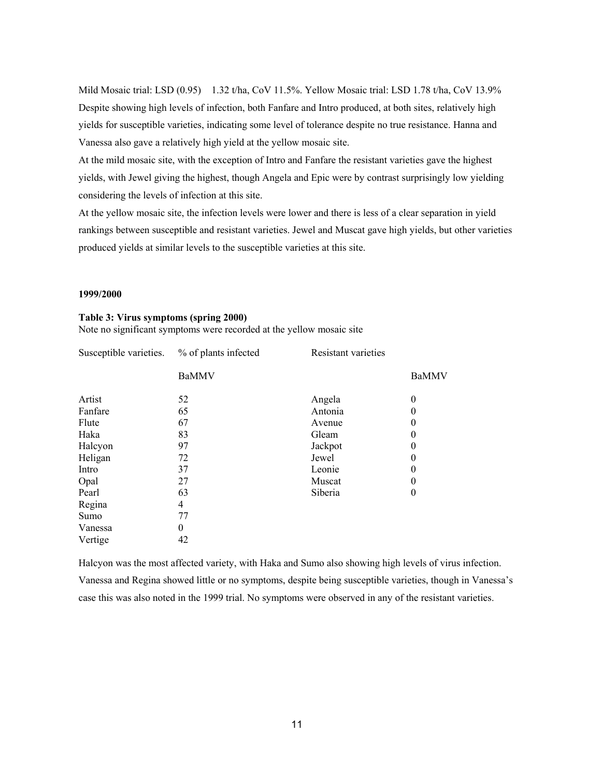Mild Mosaic trial: LSD (0.95) 1.32 t/ha, CoV 11.5%. Yellow Mosaic trial: LSD 1.78 t/ha, CoV 13.9% Despite showing high levels of infection, both Fanfare and Intro produced, at both sites, relatively high yields for susceptible varieties, indicating some level of tolerance despite no true resistance. Hanna and Vanessa also gave a relatively high yield at the yellow mosaic site.

At the mild mosaic site, with the exception of Intro and Fanfare the resistant varieties gave the highest yields, with Jewel giving the highest, though Angela and Epic were by contrast surprisingly low yielding considering the levels of infection at this site.

At the yellow mosaic site, the infection levels were lower and there is less of a clear separation in yield rankings between susceptible and resistant varieties. Jewel and Muscat gave high yields, but other varieties produced yields at similar levels to the susceptible varieties at this site.

#### **1999/2000**

| Susceptible varieties. | % of plants infected | <b>Resistant varieties</b> |              |
|------------------------|----------------------|----------------------------|--------------|
|                        | <b>BaMMV</b>         |                            | <b>BaMMV</b> |
| Artist                 | 52                   | Angela                     | $\theta$     |
| Fanfare                | 65                   | Antonia                    | $\theta$     |
| Flute                  | 67                   | Avenue                     | $\theta$     |
| Haka                   | 83                   | Gleam                      | $\theta$     |
| Halcyon                | 97                   | Jackpot                    | $\theta$     |
| Heligan                | 72                   | Jewel                      | $\theta$     |
| Intro                  | 37                   | Leonie                     | $\theta$     |
| Opal                   | 27                   | Muscat                     | $\theta$     |
| Pearl                  | 63                   | Siberia                    | $\theta$     |
| Regina                 | 4                    |                            |              |
| Sumo                   | 77                   |                            |              |
| Vanessa                | $\overline{0}$       |                            |              |
| Vertige                | 42                   |                            |              |

**Table 3: Virus symptoms (spring 2000)**  Note no significant symptoms were recorded at the yellow mosaic site

Halcyon was the most affected variety, with Haka and Sumo also showing high levels of virus infection. Vanessa and Regina showed little or no symptoms, despite being susceptible varieties, though in Vanessa's case this was also noted in the 1999 trial. No symptoms were observed in any of the resistant varieties.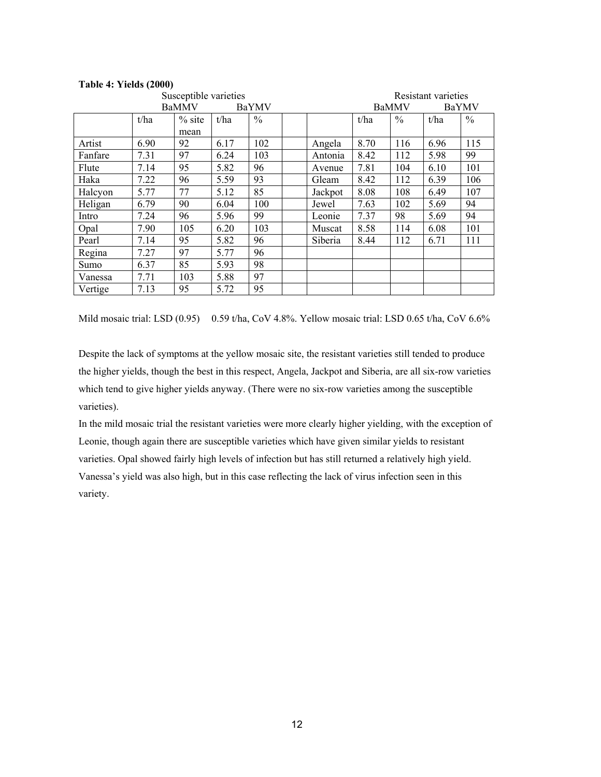#### **Table 4: Yields (2000)**

|         | Susceptible varieties |              |      |               |         | Resistant varieties |      |       |               |
|---------|-----------------------|--------------|------|---------------|---------|---------------------|------|-------|---------------|
|         |                       | <b>BaMMV</b> |      | <b>BaYMV</b>  |         | <b>BaMMV</b>        |      | BaYMV |               |
|         | t/ha                  | $%$ site     | t/ha | $\frac{0}{0}$ |         | t/ha                | $\%$ | t/ha  | $\frac{0}{0}$ |
|         |                       | mean         |      |               |         |                     |      |       |               |
| Artist  | 6.90                  | 92           | 6.17 | 102           | Angela  | 8.70                | 116  | 6.96  | 115           |
| Fanfare | 7.31                  | 97           | 6.24 | 103           | Antonia | 8.42                | 112  | 5.98  | 99            |
| Flute   | 7.14                  | 95           | 5.82 | 96            | Avenue  | 7.81                | 104  | 6.10  | 101           |
| Haka    | 7.22                  | 96           | 5.59 | 93            | Gleam   | 8.42                | 112  | 6.39  | 106           |
| Halcyon | 5.77                  | 77           | 5.12 | 85            | Jackpot | 8.08                | 108  | 6.49  | 107           |
| Heligan | 6.79                  | 90           | 6.04 | 100           | Jewel   | 7.63                | 102  | 5.69  | 94            |
| Intro   | 7.24                  | 96           | 5.96 | 99            | Leonie  | 7.37                | 98   | 5.69  | 94            |
| Opal    | 7.90                  | 105          | 6.20 | 103           | Muscat  | 8.58                | 114  | 6.08  | 101           |
| Pearl   | 7.14                  | 95           | 5.82 | 96            | Siberia | 8.44                | 112  | 6.71  | 111           |
| Regina  | 7.27                  | 97           | 5.77 | 96            |         |                     |      |       |               |
| Sumo    | 6.37                  | 85           | 5.93 | 98            |         |                     |      |       |               |
| Vanessa | 7.71                  | 103          | 5.88 | 97            |         |                     |      |       |               |
| Vertige | 7.13                  | 95           | 5.72 | 95            |         |                     |      |       |               |

Mild mosaic trial: LSD (0.95) 0.59 t/ha, CoV 4.8%. Yellow mosaic trial: LSD 0.65 t/ha, CoV 6.6%

Despite the lack of symptoms at the yellow mosaic site, the resistant varieties still tended to produce the higher yields, though the best in this respect, Angela, Jackpot and Siberia, are all six-row varieties which tend to give higher yields anyway. (There were no six-row varieties among the susceptible varieties).

In the mild mosaic trial the resistant varieties were more clearly higher yielding, with the exception of Leonie, though again there are susceptible varieties which have given similar yields to resistant varieties. Opal showed fairly high levels of infection but has still returned a relatively high yield. Vanessa's yield was also high, but in this case reflecting the lack of virus infection seen in this variety.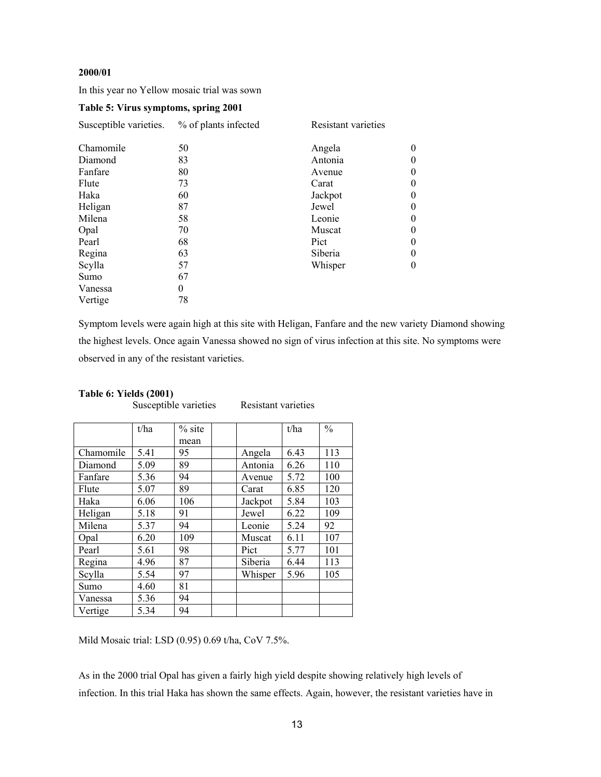#### **2000/01**

In this year no Yellow mosaic trial was sown

### **Table 5: Virus symptoms, spring 2001**

| Susceptible varieties. | % of plants infected | Resistant varieties |              |  |  |  |
|------------------------|----------------------|---------------------|--------------|--|--|--|
| Chamomile              | 50                   | Angela              | $\mathbf{0}$ |  |  |  |
| Diamond                | 83                   | Antonia             | $\theta$     |  |  |  |
| Fanfare                | 80                   | Avenue              | $\theta$     |  |  |  |
| Flute                  | 73                   | Carat               | $\theta$     |  |  |  |
| Haka                   | 60                   | Jackpot             | $\theta$     |  |  |  |
| Heligan                | 87                   | Jewel               | $\theta$     |  |  |  |
| Milena                 | 58                   | Leonie              | $\theta$     |  |  |  |
| Opal                   | 70                   | Muscat              | $\theta$     |  |  |  |
| Pearl                  | 68                   | Pict                | $\theta$     |  |  |  |
| Regina                 | 63                   | Siberia             | $\theta$     |  |  |  |
| Scylla                 | 57                   | Whisper             | $\theta$     |  |  |  |
| Sumo                   | 67                   |                     |              |  |  |  |
| Vanessa                | 0                    |                     |              |  |  |  |
| Vertige                | 78                   |                     |              |  |  |  |

Symptom levels were again high at this site with Heligan, Fanfare and the new variety Diamond showing the highest levels. Once again Vanessa showed no sign of virus infection at this site. No symptoms were observed in any of the resistant varieties.

## **Table 6: Yields (2001)**

Susceptible varieties Resistant varieties

|           | t/ha | $%$ site |         | t/ha | $\frac{0}{0}$ |
|-----------|------|----------|---------|------|---------------|
|           |      | mean     |         |      |               |
| Chamomile | 5.41 | 95       | Angela  | 6.43 | 113           |
| Diamond   | 5.09 | 89       | Antonia | 6.26 | 110           |
| Fanfare   | 5.36 | 94       | Avenue  | 5.72 | 100           |
| Flute     | 5.07 | 89       | Carat   | 6.85 | 120           |
| Haka      | 6.06 | 106      | Jackpot | 5.84 | 103           |
| Heligan   | 5.18 | 91       | Jewel   | 6.22 | 109           |
| Milena    | 5.37 | 94       | Leonie  | 5.24 | 92            |
| Opal      | 6.20 | 109      | Muscat  | 6.11 | 107           |
| Pearl     | 5.61 | 98       | Pict    | 5.77 | 101           |
| Regina    | 4.96 | 87       | Siberia | 6.44 | 113           |
| Scylla    | 5.54 | 97       | Whisper | 5.96 | 105           |
| Sumo      | 4.60 | 81       |         |      |               |
| Vanessa   | 5.36 | 94       |         |      |               |
| Vertige   | 5.34 | 94       |         |      |               |

Mild Mosaic trial: LSD (0.95) 0.69 t/ha, CoV 7.5%.

As in the 2000 trial Opal has given a fairly high yield despite showing relatively high levels of infection. In this trial Haka has shown the same effects. Again, however, the resistant varieties have in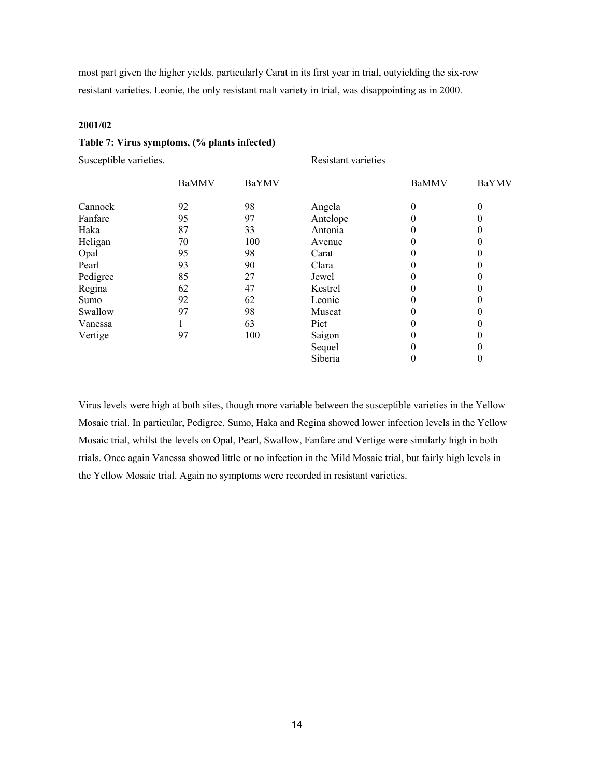most part given the higher yields, particularly Carat in its first year in trial, outyielding the six-row resistant varieties. Leonie, the only resistant malt variety in trial, was disappointing as in 2000.

#### **2001/02**

#### **Table 7: Virus symptoms, (% plants infected)**

Susceptible varieties. Resistant varieties

|          | <b>BaMMV</b> | <b>BaYMV</b> |          | <b>BaMMV</b> | BaYMV    |
|----------|--------------|--------------|----------|--------------|----------|
| Cannock  | 92           | 98           | Angela   | 0            | $\theta$ |
| Fanfare  | 95           | 97           | Antelope |              |          |
| Haka     | 87           | 33           | Antonia  | 0            |          |
| Heligan  | 70           | 100          | Avenue   | 0            |          |
| Opal     | 95           | 98           | Carat    |              |          |
| Pearl    | 93           | 90           | Clara    | 0            |          |
| Pedigree | 85           | 27           | Jewel    | 0            |          |
| Regina   | 62           | 47           | Kestrel  |              |          |
| Sumo     | 92           | 62           | Leonie   | 0            |          |
| Swallow  | 97           | 98           | Muscat   | 0            |          |
| Vanessa  |              | 63           | Pict     |              |          |
| Vertige  | 97           | 100          | Saigon   |              |          |
|          |              |              | Sequel   | 0            |          |
|          |              |              | Siberia  | 0            |          |

Virus levels were high at both sites, though more variable between the susceptible varieties in the Yellow Mosaic trial. In particular, Pedigree, Sumo, Haka and Regina showed lower infection levels in the Yellow Mosaic trial, whilst the levels on Opal, Pearl, Swallow, Fanfare and Vertige were similarly high in both trials. Once again Vanessa showed little or no infection in the Mild Mosaic trial, but fairly high levels in the Yellow Mosaic trial. Again no symptoms were recorded in resistant varieties.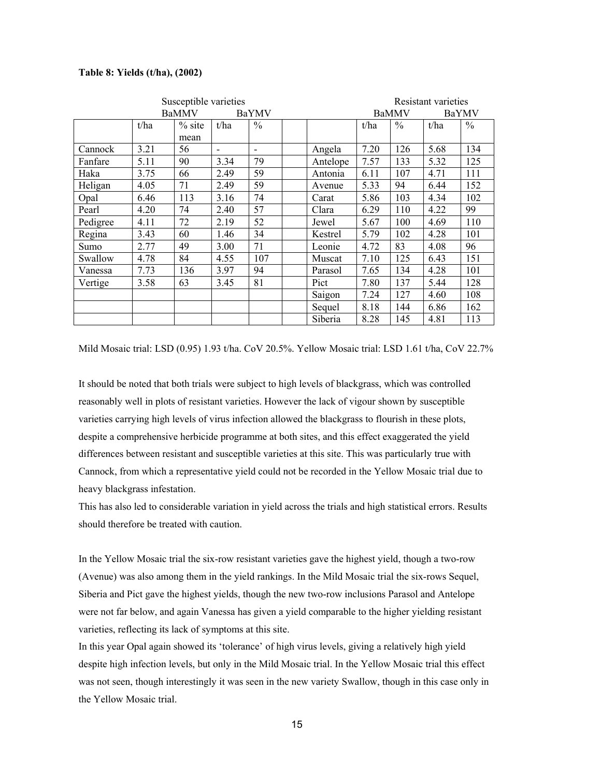#### **Table 8: Yields (t/ha), (2002)**

|          | Susceptible varieties |              |      |                          |          |              | Resistant varieties |       |               |  |
|----------|-----------------------|--------------|------|--------------------------|----------|--------------|---------------------|-------|---------------|--|
|          |                       | <b>BaMMV</b> |      | <b>BaYMV</b>             |          | <b>BaMMV</b> |                     | BaYMV |               |  |
|          | t/ha                  | $%$ site     | t/ha | $\frac{0}{0}$            |          | t/ha         | $\%$                | t/ha  | $\frac{0}{0}$ |  |
|          |                       | mean         |      |                          |          |              |                     |       |               |  |
| Cannock  | 3.21                  | 56           |      | $\overline{\phantom{0}}$ | Angela   | 7.20         | 126                 | 5.68  | 134           |  |
| Fanfare  | 5.11                  | 90           | 3.34 | 79                       | Antelope | 7.57         | 133                 | 5.32  | 125           |  |
| Haka     | 3.75                  | 66           | 2.49 | 59                       | Antonia  | 6.11         | 107                 | 4.71  | 111           |  |
| Heligan  | 4.05                  | 71           | 2.49 | 59                       | Avenue   | 5.33         | 94                  | 6.44  | 152           |  |
| Opal     | 6.46                  | 113          | 3.16 | 74                       | Carat    | 5.86         | 103                 | 4.34  | 102           |  |
| Pearl    | 4.20                  | 74           | 2.40 | 57                       | Clara    | 6.29         | 110                 | 4.22  | 99            |  |
| Pedigree | 4.11                  | 72           | 2.19 | 52                       | Jewel    | 5.67         | 100                 | 4.69  | 110           |  |
| Regina   | 3.43                  | 60           | 1.46 | 34                       | Kestrel  | 5.79         | 102                 | 4.28  | 101           |  |
| Sumo     | 2.77                  | 49           | 3.00 | 71                       | Leonie   | 4.72         | 83                  | 4.08  | 96            |  |
| Swallow  | 4.78                  | 84           | 4.55 | 107                      | Muscat   | 7.10         | 125                 | 6.43  | 151           |  |
| Vanessa  | 7.73                  | 136          | 3.97 | 94                       | Parasol  | 7.65         | 134                 | 4.28  | 101           |  |
| Vertige  | 3.58                  | 63           | 3.45 | 81                       | Pict     | 7.80         | 137                 | 5.44  | 128           |  |
|          |                       |              |      |                          | Saigon   | 7.24         | 127                 | 4.60  | 108           |  |
|          |                       |              |      |                          | Sequel   | 8.18         | 144                 | 6.86  | 162           |  |
|          |                       |              |      |                          | Siberia  | 8.28         | 145                 | 4.81  | 113           |  |

Mild Mosaic trial: LSD (0.95) 1.93 t/ha. CoV 20.5%. Yellow Mosaic trial: LSD 1.61 t/ha, CoV 22.7%

It should be noted that both trials were subject to high levels of blackgrass, which was controlled reasonably well in plots of resistant varieties. However the lack of vigour shown by susceptible varieties carrying high levels of virus infection allowed the blackgrass to flourish in these plots, despite a comprehensive herbicide programme at both sites, and this effect exaggerated the yield differences between resistant and susceptible varieties at this site. This was particularly true with Cannock, from which a representative yield could not be recorded in the Yellow Mosaic trial due to heavy blackgrass infestation.

This has also led to considerable variation in yield across the trials and high statistical errors. Results should therefore be treated with caution.

In the Yellow Mosaic trial the six-row resistant varieties gave the highest yield, though a two-row (Avenue) was also among them in the yield rankings. In the Mild Mosaic trial the six-rows Sequel, Siberia and Pict gave the highest yields, though the new two-row inclusions Parasol and Antelope were not far below, and again Vanessa has given a yield comparable to the higher yielding resistant varieties, reflecting its lack of symptoms at this site.

In this year Opal again showed its 'tolerance' of high virus levels, giving a relatively high yield despite high infection levels, but only in the Mild Mosaic trial. In the Yellow Mosaic trial this effect was not seen, though interestingly it was seen in the new variety Swallow, though in this case only in the Yellow Mosaic trial.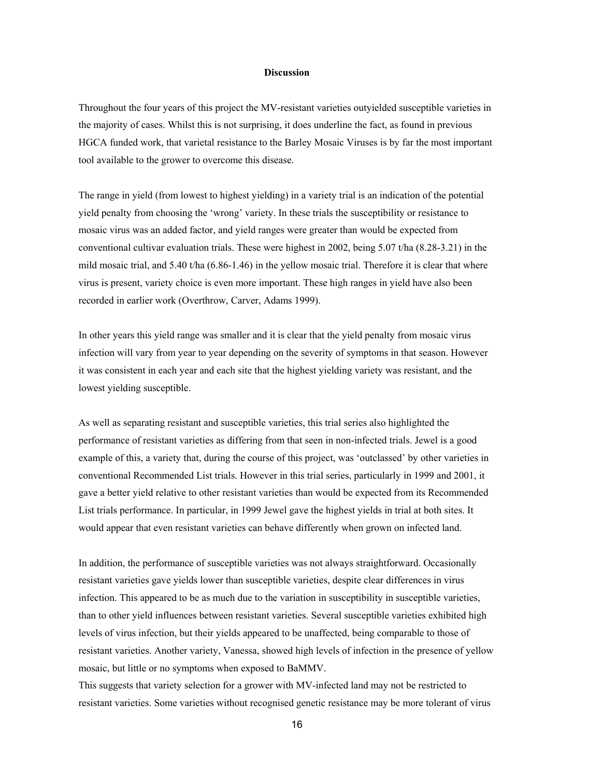#### **Discussion**

Throughout the four years of this project the MV-resistant varieties outyielded susceptible varieties in the majority of cases. Whilst this is not surprising, it does underline the fact, as found in previous HGCA funded work, that varietal resistance to the Barley Mosaic Viruses is by far the most important tool available to the grower to overcome this disease.

The range in yield (from lowest to highest yielding) in a variety trial is an indication of the potential yield penalty from choosing the 'wrong' variety. In these trials the susceptibility or resistance to mosaic virus was an added factor, and yield ranges were greater than would be expected from conventional cultivar evaluation trials. These were highest in 2002, being 5.07 t/ha (8.28-3.21) in the mild mosaic trial, and 5.40 t/ha (6.86-1.46) in the yellow mosaic trial. Therefore it is clear that where virus is present, variety choice is even more important. These high ranges in yield have also been recorded in earlier work (Overthrow, Carver, Adams 1999).

In other years this yield range was smaller and it is clear that the yield penalty from mosaic virus infection will vary from year to year depending on the severity of symptoms in that season. However it was consistent in each year and each site that the highest yielding variety was resistant, and the lowest yielding susceptible.

As well as separating resistant and susceptible varieties, this trial series also highlighted the performance of resistant varieties as differing from that seen in non-infected trials. Jewel is a good example of this, a variety that, during the course of this project, was 'outclassed' by other varieties in conventional Recommended List trials. However in this trial series, particularly in 1999 and 2001, it gave a better yield relative to other resistant varieties than would be expected from its Recommended List trials performance. In particular, in 1999 Jewel gave the highest yields in trial at both sites. It would appear that even resistant varieties can behave differently when grown on infected land.

In addition, the performance of susceptible varieties was not always straightforward. Occasionally resistant varieties gave yields lower than susceptible varieties, despite clear differences in virus infection. This appeared to be as much due to the variation in susceptibility in susceptible varieties, than to other yield influences between resistant varieties. Several susceptible varieties exhibited high levels of virus infection, but their yields appeared to be unaffected, being comparable to those of resistant varieties. Another variety, Vanessa, showed high levels of infection in the presence of yellow mosaic, but little or no symptoms when exposed to BaMMV.

This suggests that variety selection for a grower with MV-infected land may not be restricted to resistant varieties. Some varieties without recognised genetic resistance may be more tolerant of virus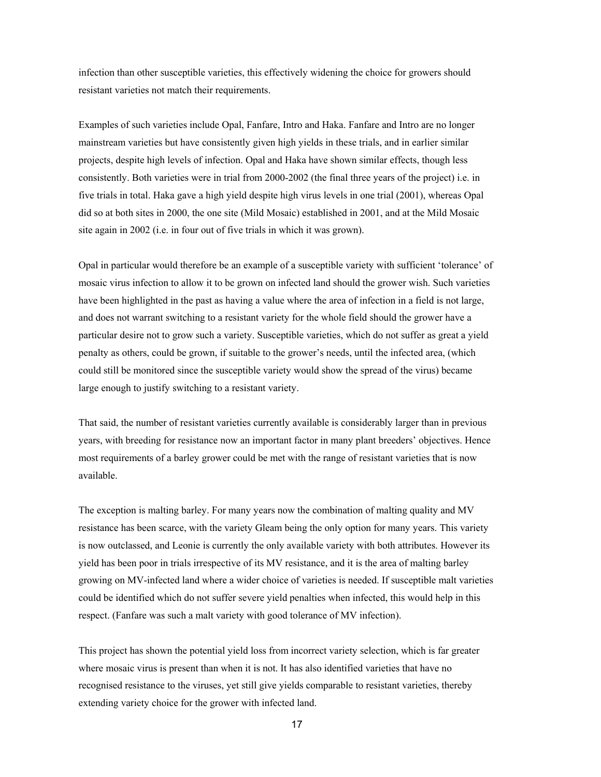infection than other susceptible varieties, this effectively widening the choice for growers should resistant varieties not match their requirements.

Examples of such varieties include Opal, Fanfare, Intro and Haka. Fanfare and Intro are no longer mainstream varieties but have consistently given high yields in these trials, and in earlier similar projects, despite high levels of infection. Opal and Haka have shown similar effects, though less consistently. Both varieties were in trial from 2000-2002 (the final three years of the project) i.e. in five trials in total. Haka gave a high yield despite high virus levels in one trial (2001), whereas Opal did so at both sites in 2000, the one site (Mild Mosaic) established in 2001, and at the Mild Mosaic site again in 2002 (i.e. in four out of five trials in which it was grown).

Opal in particular would therefore be an example of a susceptible variety with sufficient 'tolerance' of mosaic virus infection to allow it to be grown on infected land should the grower wish. Such varieties have been highlighted in the past as having a value where the area of infection in a field is not large, and does not warrant switching to a resistant variety for the whole field should the grower have a particular desire not to grow such a variety. Susceptible varieties, which do not suffer as great a yield penalty as others, could be grown, if suitable to the grower's needs, until the infected area, (which could still be monitored since the susceptible variety would show the spread of the virus) became large enough to justify switching to a resistant variety.

That said, the number of resistant varieties currently available is considerably larger than in previous years, with breeding for resistance now an important factor in many plant breeders' objectives. Hence most requirements of a barley grower could be met with the range of resistant varieties that is now available.

The exception is malting barley. For many years now the combination of malting quality and MV resistance has been scarce, with the variety Gleam being the only option for many years. This variety is now outclassed, and Leonie is currently the only available variety with both attributes. However its yield has been poor in trials irrespective of its MV resistance, and it is the area of malting barley growing on MV-infected land where a wider choice of varieties is needed. If susceptible malt varieties could be identified which do not suffer severe yield penalties when infected, this would help in this respect. (Fanfare was such a malt variety with good tolerance of MV infection).

This project has shown the potential yield loss from incorrect variety selection, which is far greater where mosaic virus is present than when it is not. It has also identified varieties that have no recognised resistance to the viruses, yet still give yields comparable to resistant varieties, thereby extending variety choice for the grower with infected land.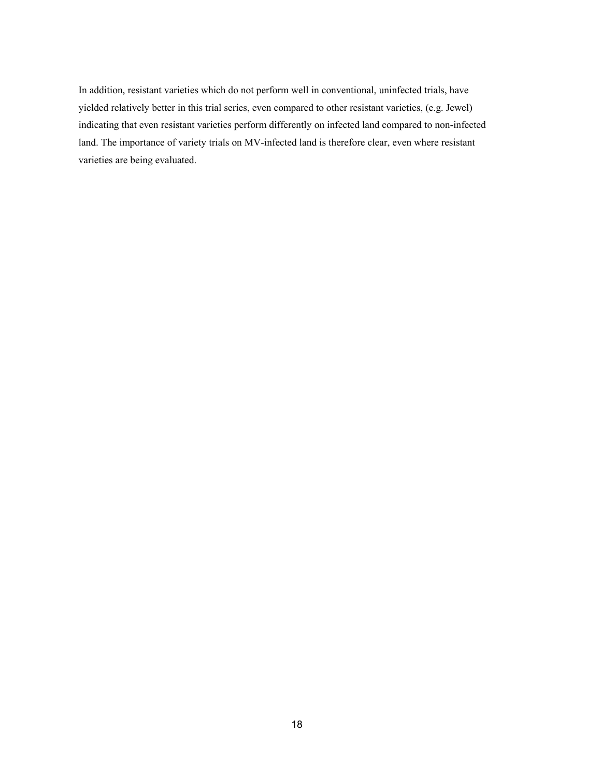In addition, resistant varieties which do not perform well in conventional, uninfected trials, have yielded relatively better in this trial series, even compared to other resistant varieties, (e.g. Jewel) indicating that even resistant varieties perform differently on infected land compared to non-infected land. The importance of variety trials on MV-infected land is therefore clear, even where resistant varieties are being evaluated.